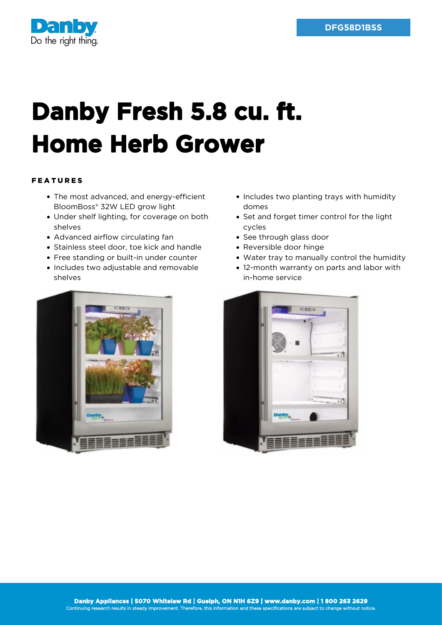

## **Danby Fresh 5.8 cu. ft. Home Herb Grower**

## FEATURES

- The most advanced, and energy-efficient BloomBoss® 32W LED grow light
- Under shelf lighting, for coverage on both shelves
- Advanced airflow circulating fan
- Stainless steel door, toe kick and handle
- Free standing or built-in under counter
- Includes two adjustable and removable shelves
- Includes two planting trays with humidity domes
- Set and forget timer control for the light cycles
- See through glass door
- Reversible door hinge
- Water tray to manually control the humidity
- 12-month warranty on parts and labor with in-home service